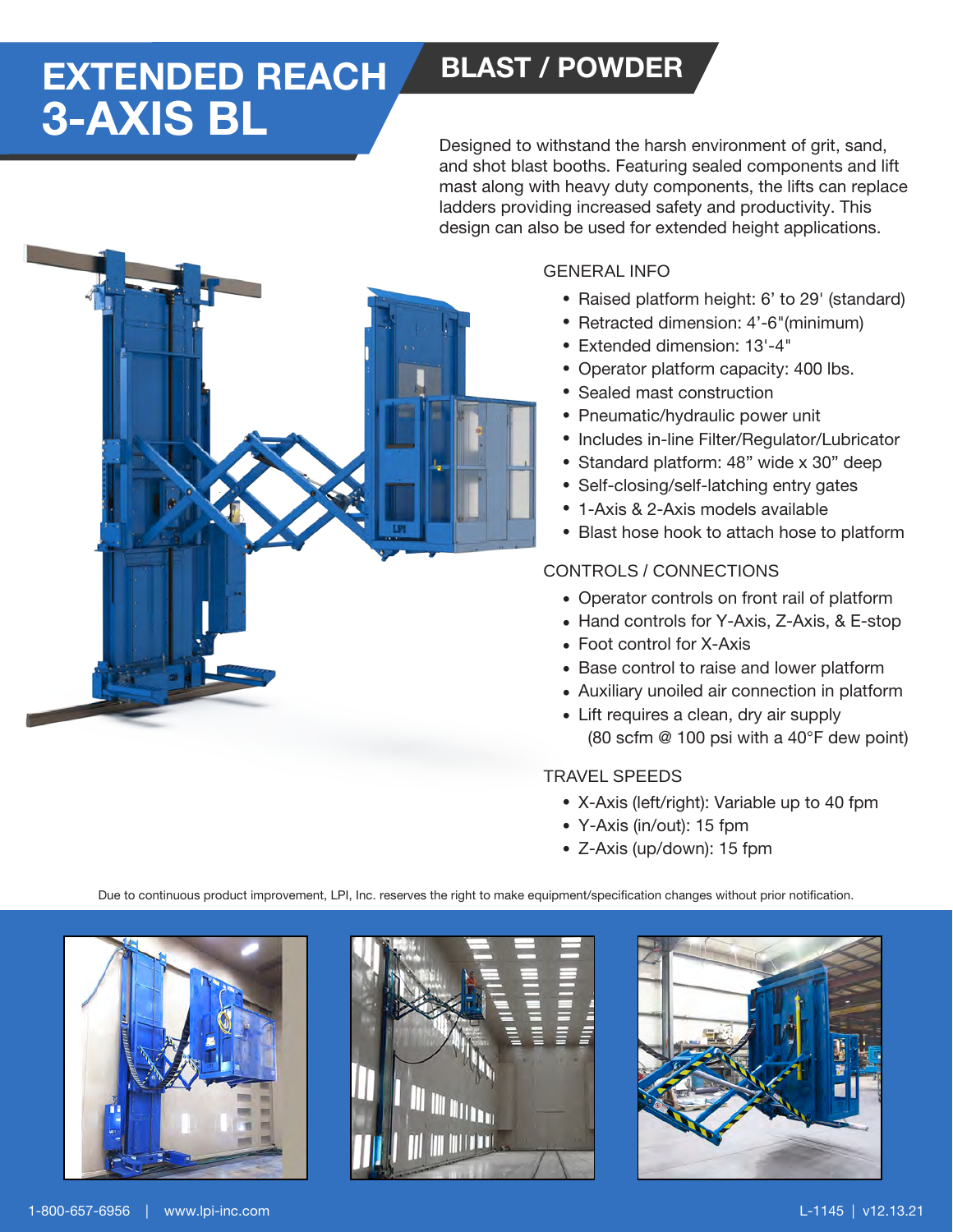# 3-AXIS BL 3-AXIS BL **EXTENDED REACH BLAST / POWDER**

Designed to withstand the harsh environment of grit, sand, and shot blast booths. Featuring sealed components and lift mast along with heavy duty components, the lifts can replace ladders providing increased safety and productivity. This design can also be used for extended height applications.



### GENERAL INFO

- Raised platform height: 6' to 29' (standard)
- Retracted dimension: 4'-6"(minimum)
- Extended dimension: 13'-4" •
- Operator platform capacity: 400 lbs.
- Sealed mast construction
- Pneumatic/hydraulic power unit
- Includes in-line Filter/Regulator/Lubricator
- Standard platform: 48" wide x 30" deep
- Self-closing/self-latching entry gates
- 1-Axis & 2-Axis models available
- Blast hose hook to attach hose to platform

#### CONTROLS / CONNECTIONS

- Operator controls on front rail of platform
- Hand controls for Y-Axis, Z-Axis, & E-stop
- Foot control for X-Axis
- Base control to raise and lower platform
- Auxiliary unoiled air connection in platform
- Lift requires a clean, dry air supply (80 scfm @ 100 psi with a 40°F dew point)

#### TRAVEL SPEEDS

- X-Axis (left/right): Variable up to 40 fpm
- Y-Axis (in/out): 15 fpm
- Z-Axis (up/down): 15 fpm

Due to continuous product improvement, LPI, Inc. reserves the right to make equipment/specification changes without prior notification.